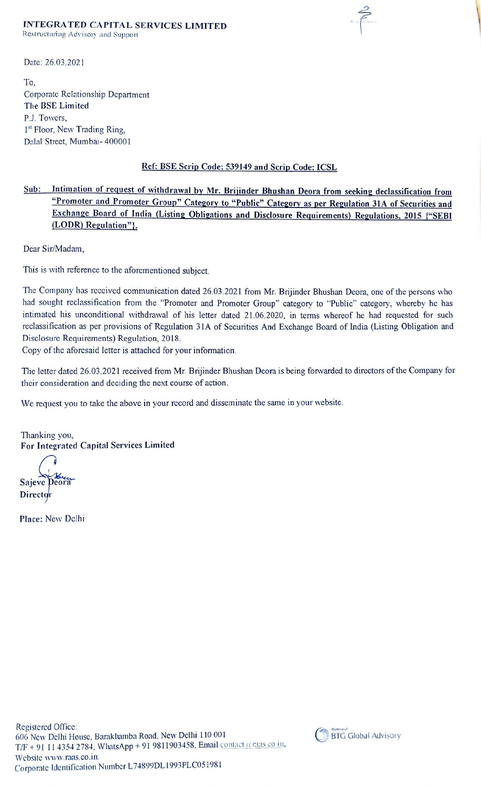## INTEGRATED CAPITAL SERVICES LIMITED

Restructuring Advisory and Support

Date: 26.03.2021

To, Corporate Relationship Department The BSE Limited P.J. Towers, 1<sup>st</sup> Floor, New Trading Ring, Dalal Street, Mumbai- 400001

## Ref: BSE Scrip Code: 539149 and Scrip Code: ICSL

Sub: Intimation of request of withdrawal by Mr. Brijinder Bhushan Deora from seeking declassification from "Promoter and Promoter Group" Category to "Public" Category as per Regulation 31A of Securities and Exchange Board of India (Listing Obligations and Disclosure Requirements) Regulations, 2015 {"SEBI (LODR) Regulation"},

Dear Sir/Madam,

This is with reference to the aforementioned subject.

The Company has reccived communication dated 26.03.2021 from Mr. Brijinder Bhushan Deora, one of the persons who had sought reclassification from the "Promoter and Promoter Group" category to "Public" category, whereby he has intimated his unconditional withdrawal of his letter dated 21.06.2020, in terms whereof he had requested for such reclassification as per provisions of Regulation 31A of Securities And Exchange Board of India (Listing Obligation and Disclosure Requirements) Regulation, 2018.

Copy of the aforesaid letter is attached for your information.

The letter dated 26.03.2021 received from Mr. Brijinder Bhushan Deora is being forwarded to directors of the Company for their consideration and deciding the next course of action.

We request you to take the above in your record and disseminate the same in your website.

Thanking you, For Integrated Capital Services Limited

Sajeve Director

Place: New Delhi



 $\sum_{n=1}^{\infty}$